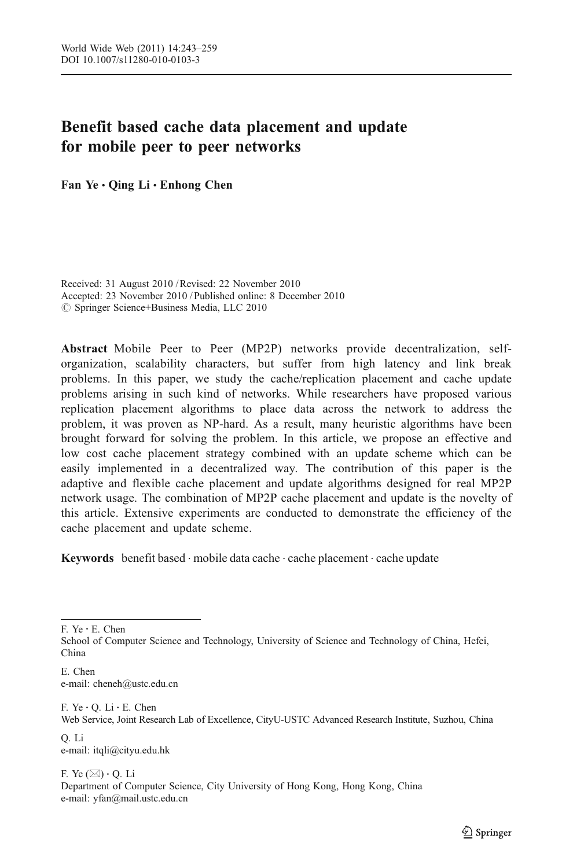## Benefit based cache data placement and update for mobile peer to peer networks

Fan Ye • Oing Li • Enhong Chen

Received: 31 August 2010 /Revised: 22 November 2010 Accepted: 23 November 2010 / Published online: 8 December 2010  $\oslash$  Springer Science+Business Media, LLC 2010

Abstract Mobile Peer to Peer (MP2P) networks provide decentralization, selforganization, scalability characters, but suffer from high latency and link break problems. In this paper, we study the cache/replication placement and cache update problems arising in such kind of networks. While researchers have proposed various replication placement algorithms to place data across the network to address the problem, it was proven as NP-hard. As a result, many heuristic algorithms have been brought forward for solving the problem. In this article, we propose an effective and low cost cache placement strategy combined with an update scheme which can be easily implemented in a decentralized way. The contribution of this paper is the adaptive and flexible cache placement and update algorithms designed for real MP2P network usage. The combination of MP2P cache placement and update is the novelty of this article. Extensive experiments are conducted to demonstrate the efficiency of the cache placement and update scheme.

Keywords benefit based  $\cdot$  mobile data cache  $\cdot$  cache placement  $\cdot$  cache update

F. Ye : E. Chen

School of Computer Science and Technology, University of Science and Technology of China, Hefei, China

E. Chen e-mail: cheneh@ustc.edu.cn

F. Ye  $\cdot$  O. Li  $\cdot$  E. Chen Web Service, Joint Research Lab of Excellence, CityU-USTC Advanced Research Institute, Suzhou, China Q. Li

e-mail: itqli@cityu.edu.hk

F. Ye  $(\boxtimes) \cdot$  O. Li Department of Computer Science, City University of Hong Kong, Hong Kong, China e-mail: yfan@mail.ustc.edu.cn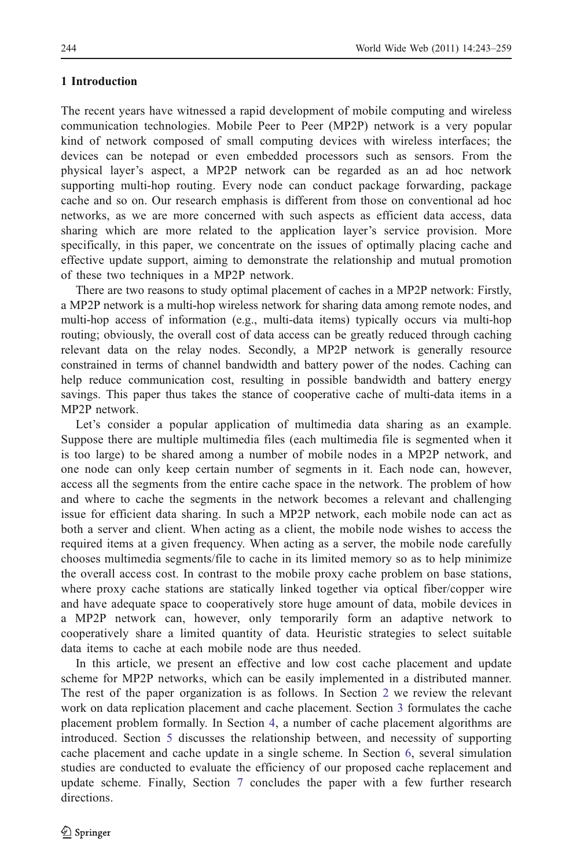### 1 Introduction

The recent years have witnessed a rapid development of mobile computing and wireless communication technologies. Mobile Peer to Peer (MP2P) network is a very popular kind of network composed of small computing devices with wireless interfaces; the devices can be notepad or even embedded processors such as sensors. From the physical layer's aspect, a MP2P network can be regarded as an ad hoc network supporting multi-hop routing. Every node can conduct package forwarding, package cache and so on. Our research emphasis is different from those on conventional ad hoc networks, as we are more concerned with such aspects as efficient data access, data sharing which are more related to the application layer's service provision. More specifically, in this paper, we concentrate on the issues of optimally placing cache and effective update support, aiming to demonstrate the relationship and mutual promotion of these two techniques in a MP2P network.

There are two reasons to study optimal placement of caches in a MP2P network: Firstly, a MP2P network is a multi-hop wireless network for sharing data among remote nodes, and multi-hop access of information (e.g., multi-data items) typically occurs via multi-hop routing; obviously, the overall cost of data access can be greatly reduced through caching relevant data on the relay nodes. Secondly, a MP2P network is generally resource constrained in terms of channel bandwidth and battery power of the nodes. Caching can help reduce communication cost, resulting in possible bandwidth and battery energy savings. This paper thus takes the stance of cooperative cache of multi-data items in a MP2P network.

Let's consider a popular application of multimedia data sharing as an example. Suppose there are multiple multimedia files (each multimedia file is segmented when it is too large) to be shared among a number of mobile nodes in a MP2P network, and one node can only keep certain number of segments in it. Each node can, however, access all the segments from the entire cache space in the network. The problem of how and where to cache the segments in the network becomes a relevant and challenging issue for efficient data sharing. In such a MP2P network, each mobile node can act as both a server and client. When acting as a client, the mobile node wishes to access the required items at a given frequency. When acting as a server, the mobile node carefully chooses multimedia segments/file to cache in its limited memory so as to help minimize the overall access cost. In contrast to the mobile proxy cache problem on base stations, where proxy cache stations are statically linked together via optical fiber/copper wire and have adequate space to cooperatively store huge amount of data, mobile devices in a MP2P network can, however, only temporarily form an adaptive network to cooperatively share a limited quantity of data. Heuristic strategies to select suitable data items to cache at each mobile node are thus needed.

In this article, we present an effective and low cost cache placement and update scheme for MP2P networks, which can be easily implemented in a distributed manner. The rest of the paper organization is as follows. In Section [2](#page-2-0) we review the relevant work on data replication placement and cache placement. Section [3](#page-3-0) formulates the cache placement problem formally. In Section [4](#page-5-0), a number of cache placement algorithms are introduced. Section [5](#page-8-0) discusses the relationship between, and necessity of supporting cache placement and cache update in a single scheme. In Section [6,](#page-10-0) several simulation studies are conducted to evaluate the efficiency of our proposed cache replacement and update scheme. Finally, Section [7](#page-15-0) concludes the paper with a few further research directions.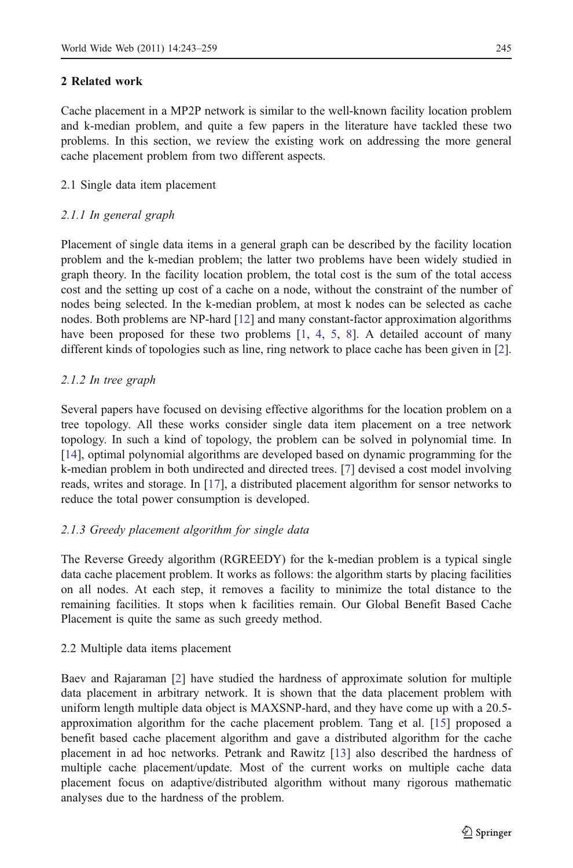### <span id="page-2-0"></span>2 Related work

Cache placement in a MP2P network is similar to the well-known facility location problem and k-median problem, and quite a few papers in the literature have tackled these two problems. In this section, we review the existing work on addressing the more general cache placement problem from two different aspects.

## 2.1 Single data item placement

## 2.1.1 In general graph

Placement of single data items in a general graph can be described by the facility location problem and the k-median problem; the latter two problems have been widely studied in graph theory. In the facility location problem, the total cost is the sum of the total access cost and the setting up cost of a cache on a node, without the constraint of the number of nodes being selected. In the k-median problem, at most k nodes can be selected as cache nodes. Both problems are NP-hard [[12](#page-16-0)] and many constant-factor approximation algorithms have been proposed for these two problems [[1](#page-15-0), [4](#page-15-0), [5,](#page-15-0) [8](#page-16-0)]. A detailed account of many different kinds of topologies such as line, ring network to place cache has been given in [\[2](#page-15-0)].

## 2.1.2 In tree graph

Several papers have focused on devising effective algorithms for the location problem on a tree topology. All these works consider single data item placement on a tree network topology. In such a kind of topology, the problem can be solved in polynomial time. In [[14](#page-16-0)], optimal polynomial algorithms are developed based on dynamic programming for the k-median problem in both undirected and directed trees. [\[7](#page-16-0)] devised a cost model involving reads, writes and storage. In [[17](#page-16-0)], a distributed placement algorithm for sensor networks to reduce the total power consumption is developed.

## 2.1.3 Greedy placement algorithm for single data

The Reverse Greedy algorithm (RGREEDY) for the k-median problem is a typical single data cache placement problem. It works as follows: the algorithm starts by placing facilities on all nodes. At each step, it removes a facility to minimize the total distance to the remaining facilities. It stops when k facilities remain. Our Global Benefit Based Cache Placement is quite the same as such greedy method.

### 2.2 Multiple data items placement

Baev and Rajaraman [[2](#page-15-0)] have studied the hardness of approximate solution for multiple data placement in arbitrary network. It is shown that the data placement problem with uniform length multiple data object is MAXSNP-hard, and they have come up with a 20.5 approximation algorithm for the cache placement problem. Tang et al. [\[15](#page-16-0)] proposed a benefit based cache placement algorithm and gave a distributed algorithm for the cache placement in ad hoc networks. Petrank and Rawitz [\[13\]](#page-16-0) also described the hardness of multiple cache placement/update. Most of the current works on multiple cache data placement focus on adaptive/distributed algorithm without many rigorous mathematic analyses due to the hardness of the problem.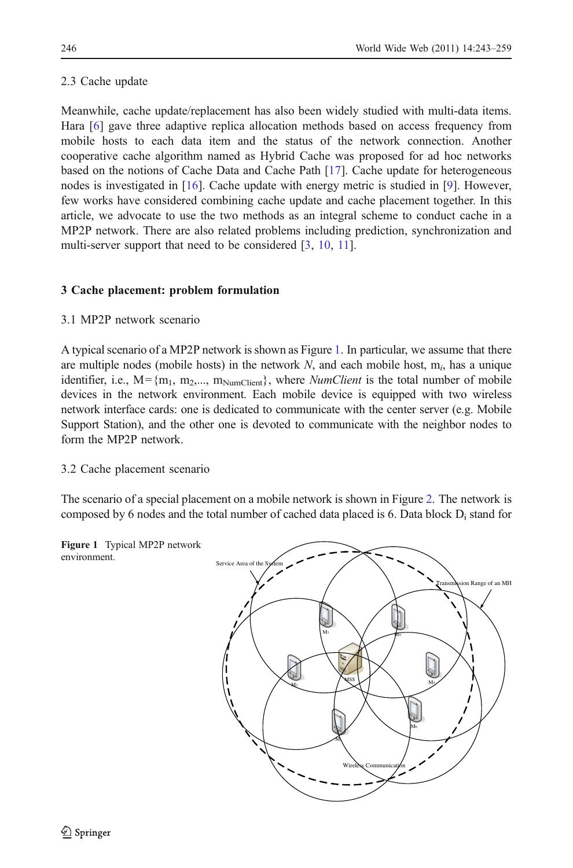## <span id="page-3-0"></span>2.3 Cache update

Meanwhile, cache update/replacement has also been widely studied with multi-data items. Hara [[6](#page-16-0)] gave three adaptive replica allocation methods based on access frequency from mobile hosts to each data item and the status of the network connection. Another cooperative cache algorithm named as Hybrid Cache was proposed for ad hoc networks based on the notions of Cache Data and Cache Path [\[17\]](#page-16-0). Cache update for heterogeneous nodes is investigated in [[16](#page-16-0)]. Cache update with energy metric is studied in [[9\]](#page-16-0). However, few works have considered combining cache update and cache placement together. In this article, we advocate to use the two methods as an integral scheme to conduct cache in a MP2P network. There are also related problems including prediction, synchronization and multi-server support that need to be considered [[3,](#page-15-0) [10,](#page-16-0) [11](#page-16-0)].

## 3 Cache placement: problem formulation

## 3.1 MP2P network scenario

A typical scenario of a MP2P network is shown as Figure 1. In particular, we assume that there are multiple nodes (mobile hosts) in the network  $N$ , and each mobile host,  $m_i$ , has a unique identifier, i.e.,  $M = \{m_1, m_2, \ldots, m_{NumClient}\}\$ , where *NumClient* is the total number of mobile devices in the network environment. Each mobile device is equipped with two wireless network interface cards: one is dedicated to communicate with the center server (e.g. Mobile Support Station), and the other one is devoted to communicate with the neighbor nodes to form the MP2P network.

## 3.2 Cache placement scenario

The scenario of a special placement on a mobile network is shown in Figure [2](#page-4-0). The network is composed by 6 nodes and the total number of cached data placed is 6. Data block  $D_i$  stand for

Figure 1 Typical MP2P network environment.

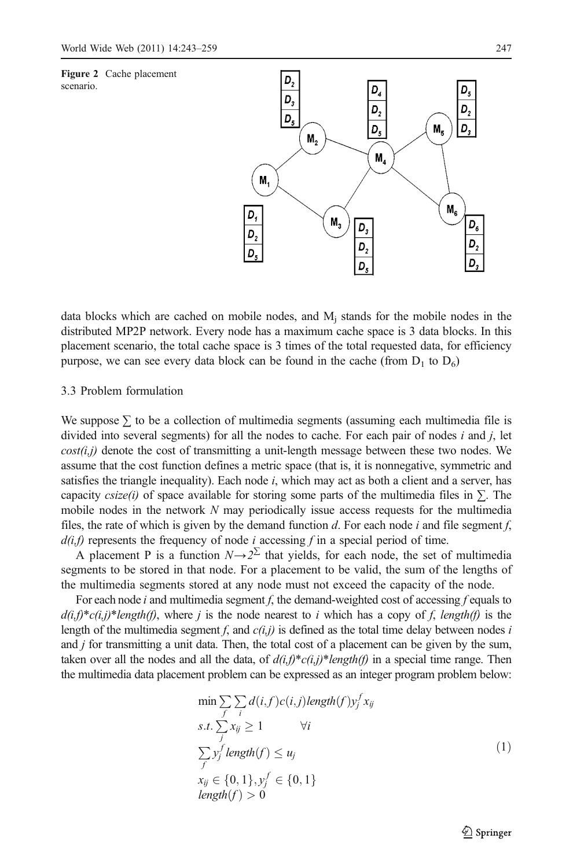<span id="page-4-0"></span>

data blocks which are cached on mobile nodes, and  $M_i$  stands for the mobile nodes in the distributed MP2P network. Every node has a maximum cache space is 3 data blocks. In this placement scenario, the total cache space is 3 times of the total requested data, for efficiency purpose, we can see every data block can be found in the cache (from  $D_1$  to  $D_6$ )

### 3.3 Problem formulation

We suppose  $\Sigma$  to be a collection of multimedia segments (assuming each multimedia file is divided into several segments) for all the nodes to cache. For each pair of nodes  $i$  and  $j$ , let  $cost(i,j)$  denote the cost of transmitting a unit-length message between these two nodes. We assume that the cost function defines a metric space (that is, it is nonnegative, symmetric and satisfies the triangle inequality). Each node  $i$ , which may act as both a client and a server, has capacity *csize(i)* of space available for storing some parts of the multimedia files in  $\Sigma$ . The mobile nodes in the network  $N$  may periodically issue access requests for the multimedia files, the rate of which is given by the demand function d. For each node i and file segment f,  $d(i,f)$  represents the frequency of node i accessing f in a special period of time.

A placement P is a function  $N\rightarrow 2^{\sum}$  that yields, for each node, the set of multimedia segments to be stored in that node. For a placement to be valid, the sum of the lengths of the multimedia segments stored at any node must not exceed the capacity of the node.

For each node i and multimedia segment f, the demand-weighted cost of accessing f equals to  $d(i,f)^*c(i,j)^*length(f)$ , where j is the node nearest to i which has a copy of f, length(f) is the length of the multimedia segment f, and  $c(i,j)$  is defined as the total time delay between nodes i and *i* for transmitting a unit data. Then, the total cost of a placement can be given by the sum, taken over all the nodes and all the data, of  $d(i,j)^*c(i,j)^*length(j)$  in a special time range. Then the multimedia data placement problem can be expressed as an integer program problem below:

$$
\min \sum_{f} \sum_{i} d(i, f) c(i, j) \text{length}(f) y_j^f x_{ij}
$$
\n
$$
s.t. \sum_{j} x_{ij} \ge 1 \qquad \forall i
$$
\n
$$
\sum_{f} y_j^f \text{length}(f) \le u_j
$$
\n
$$
x_{ij} \in \{0, 1\}, y_j^f \in \{0, 1\}
$$
\n
$$
\text{length}(f) > 0
$$
\n(1)

 $\bigcirc$  Springer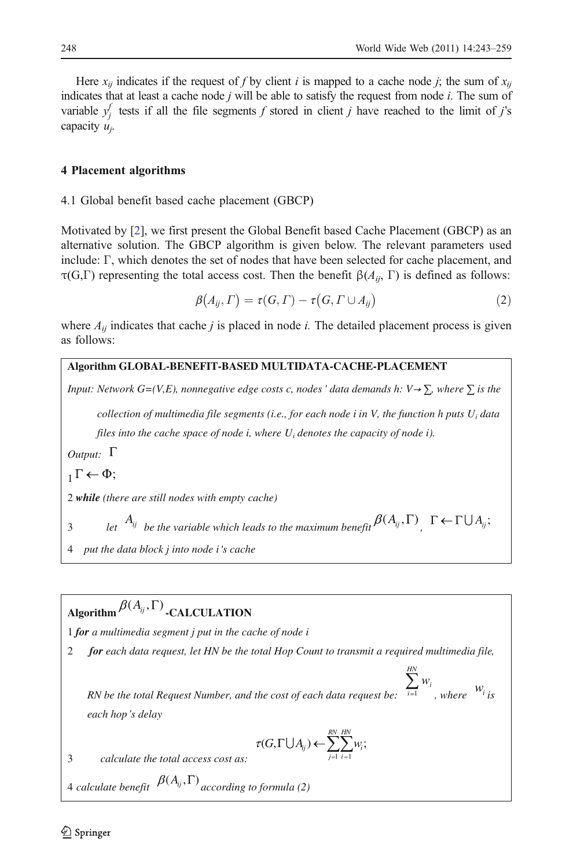<span id="page-5-0"></span>Here  $x_{ii}$  indicates if the request of f by client i is mapped to a cache node j; the sum of  $x_{ii}$ indicates that at least a cache node  $j$  will be able to satisfy the request from node  $i$ . The sum of variable  $y_j^f$  tests if all the file segments f stored in client j have reached to the limit of j's capacity  $u_j$ .

### 4 Placement algorithms

4.1 Global benefit based cache placement (GBCP)

Motivated by [[2\]](#page-15-0), we first present the Global Benefit based Cache Placement (GBCP) as an alternative solution. The GBCP algorithm is given below. The relevant parameters used include: Γ, which denotes the set of nodes that have been selected for cache placement, and τ(G,Γ) representing the total access cost. Then the benefit  $\beta(A_{ij}, \Gamma)$  is defined as follows:

$$
\beta(A_{ij},\Gamma)=\tau(G,\Gamma)-\tau(G,\Gamma\cup A_{ij})
$$
\n(2)

where  $A_{ii}$  indicates that cache *i* is placed in node *i*. The detailed placement process is given as follows:

### **Algorithm GLOBAL-BENEFIT-BASED MULTIDATA-CACHE-PLACEMENT**

*Input: Network G=(V,E), nonnegative edge costs c, nodes' data demands h: V*  $\rightarrow \Sigma$ *, where*  $\Sigma$  *is the* 

*collection of multimedia file segments (i.e., for each node i in V, the function h puts Ui data files into the cache space of node i, where Ui denotes the capacity of node i).* 

*Output:*  $\Gamma$ 

 $\Gamma \leftarrow \Phi$ :

2 *while (there are still nodes with empty cache)* 

3 *let*  $A_{ij}$  be the variable which leads to the maximum benefit  $\beta(A_{ij}, \Gamma)$  ,  $\Gamma \leftarrow \Gamma \cup A_{ij}$ ;

4 *put the data block j into node i s cache* 

# $\mathcal{A}$ **Leorithm**  $\mathcal{B}(A_{ij}, \Gamma)$  **-CALCULATION**

1 *for a multimedia segment j put in the cache of node i* 

2 *for each data request, let HN be the total Hop Count to transmit a required multimedia file,* 

*RN be the total Request Number, and the cost of each data request be:* <sup>1</sup>  $\sum_{i=1}^{\infty}$ <sup>*w*<sub>i</sub></sup> *w m*, where  $W_i$  *is each hop s delay* 

$$
\tau(G,\Gamma \bigcup A_{ij}) \leftarrow \sum_{j=1}^{RN} \sum_{i=1}^{HN} w_i;
$$

*HN*

3 *calculate the total access cost as:* 

4 *calculate benefit*  $\beta(A_{ij}, \Gamma)$  *according to formula (2)*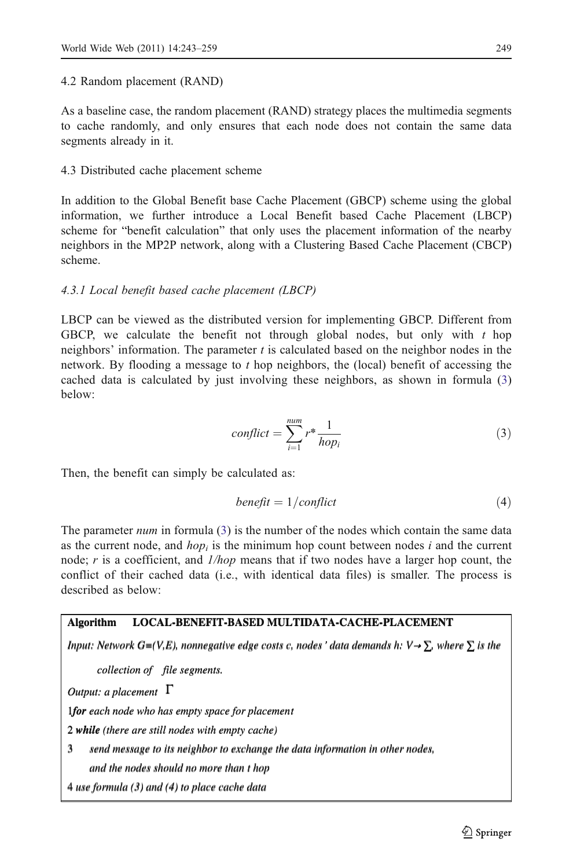### <span id="page-6-0"></span>4.2 Random placement (RAND)

As a baseline case, the random placement (RAND) strategy places the multimedia segments to cache randomly, and only ensures that each node does not contain the same data segments already in it.

## 4.3 Distributed cache placement scheme

In addition to the Global Benefit base Cache Placement (GBCP) scheme using the global information, we further introduce a Local Benefit based Cache Placement (LBCP) scheme for "benefit calculation" that only uses the placement information of the nearby neighbors in the MP2P network, along with a Clustering Based Cache Placement (CBCP) scheme.

### 4.3.1 Local benefit based cache placement (LBCP)

LBCP can be viewed as the distributed version for implementing GBCP. Different from GBCP, we calculate the benefit not through global nodes, but only with  $t$  hop neighbors' information. The parameter  $t$  is calculated based on the neighbor nodes in the network. By flooding a message to t hop neighbors, the (local) benefit of accessing the cached data is calculated by just involving these neighbors, as shown in formula (3) below:

$$
conflict = \sum_{i=1}^{num} r^* \frac{1}{hop_i}
$$
\n(3)

Then, the benefit can simply be calculated as:

$$
benefit = 1/conflict
$$
\n(4)

The parameter *num* in formula (3) is the number of the nodes which contain the same data as the current node, and  $hop<sub>i</sub>$  is the minimum hop count between nodes i and the current node; r is a coefficient, and  $1/hop$  means that if two nodes have a larger hop count, the conflict of their cached data (i.e., with identical data files) is smaller. The process is described as below:

## **Algorithm LOCAL-BENEFIT-BASED MULTIDATA-CACHE-PLACEMENT Algorithm LOCAL-BENEFIT-BASED MULTIDATA-CACHE-PLACEMENT**

Input: Network G=(V,E), nonnegative edge costs c, nodes ' data demands h:  $V \rightarrow \sum$ , where  $\sum$  is the collection of file segments.<br>Output: a placement  $\Gamma$ 

*collection of file segments.* 

*Output: a placement* 

1*for each node who has empty space for placement* 1*for each node who has empty space for placement*

2 *while (there are still nodes with empty cache)*  2 *while (there are still nodes with empty cache)* 

3 *send message to its neighbor to exchange the data information in other nodes,*  3 *send message to its neighbor to exchange the data information in other nodes,* 

*and the nodes should no more than t hop and the nodes should no more than t hop* 

4 *use formula (3) and (4) to place cache data*  4 *use formula (3) and (4) to place cache data*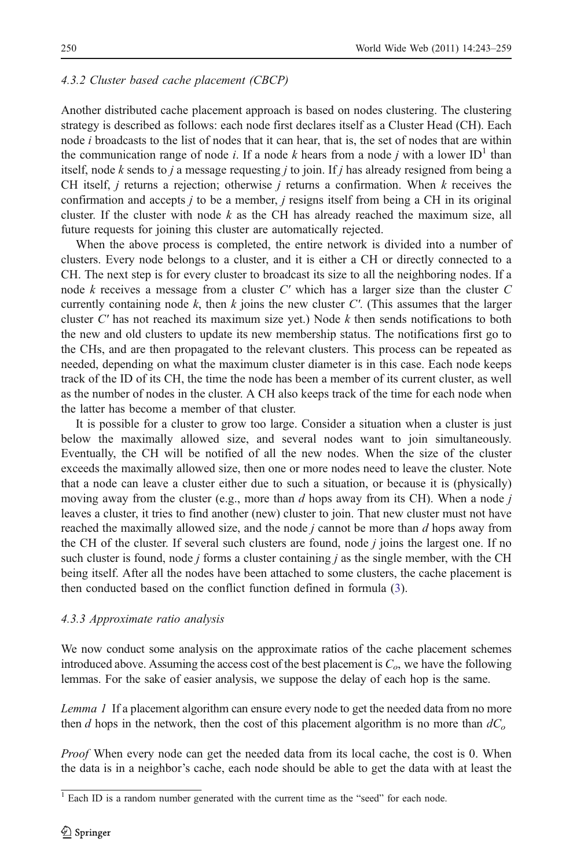### 4.3.2 Cluster based cache placement (CBCP)

Another distributed cache placement approach is based on nodes clustering. The clustering strategy is described as follows: each node first declares itself as a Cluster Head (CH). Each node *i* broadcasts to the list of nodes that it can hear, that is, the set of nodes that are within the communication range of node *i*. If a node *k* hears from a node *j* with a lower ID<sup>1</sup> than itself, node k sends to j a message requesting j to join. If j has already resigned from being a CH itself, *j* returns a rejection; otherwise *j* returns a confirmation. When  $k$  receives the confirmation and accepts j to be a member, j resigns itself from being a CH in its original cluster. If the cluster with node  $k$  as the CH has already reached the maximum size, all future requests for joining this cluster are automatically rejected.

When the above process is completed, the entire network is divided into a number of clusters. Every node belongs to a cluster, and it is either a CH or directly connected to a CH. The next step is for every cluster to broadcast its size to all the neighboring nodes. If a node  $k$  receives a message from a cluster  $C'$  which has a larger size than the cluster  $C$ currently containing node k, then k joins the new cluster C'. (This assumes that the larger cluster  $C'$  has not reached its maximum size yet.) Node  $k$  then sends notifications to both the new and old clusters to update its new membership status. The notifications first go to the CHs, and are then propagated to the relevant clusters. This process can be repeated as needed, depending on what the maximum cluster diameter is in this case. Each node keeps track of the ID of its CH, the time the node has been a member of its current cluster, as well as the number of nodes in the cluster. A CH also keeps track of the time for each node when the latter has become a member of that cluster.

It is possible for a cluster to grow too large. Consider a situation when a cluster is just below the maximally allowed size, and several nodes want to join simultaneously. Eventually, the CH will be notified of all the new nodes. When the size of the cluster exceeds the maximally allowed size, then one or more nodes need to leave the cluster. Note that a node can leave a cluster either due to such a situation, or because it is (physically) moving away from the cluster (e.g., more than  $d$  hops away from its CH). When a node  $j$ leaves a cluster, it tries to find another (new) cluster to join. That new cluster must not have reached the maximally allowed size, and the node  $i$  cannot be more than  $d$  hops away from the CH of the cluster. If several such clusters are found, node  $j$  joins the largest one. If no such cluster is found, node  $j$  forms a cluster containing  $j$  as the single member, with the CH being itself. After all the nodes have been attached to some clusters, the cache placement is then conducted based on the conflict function defined in formula ([3\)](#page-6-0).

### 4.3.3 Approximate ratio analysis

We now conduct some analysis on the approximate ratios of the cache placement schemes introduced above. Assuming the access cost of the best placement is  $C_{\alpha}$ , we have the following lemmas. For the sake of easier analysis, we suppose the delay of each hop is the same.

Lemma 1 If a placement algorithm can ensure every node to get the needed data from no more then d hops in the network, then the cost of this placement algorithm is no more than  $dC<sub>o</sub>$ 

*Proof* When every node can get the needed data from its local cache, the cost is 0. When the data is in a neighbor's cache, each node should be able to get the data with at least the

<sup>&</sup>lt;sup>1</sup> Each ID is a random number generated with the current time as the "seed" for each node.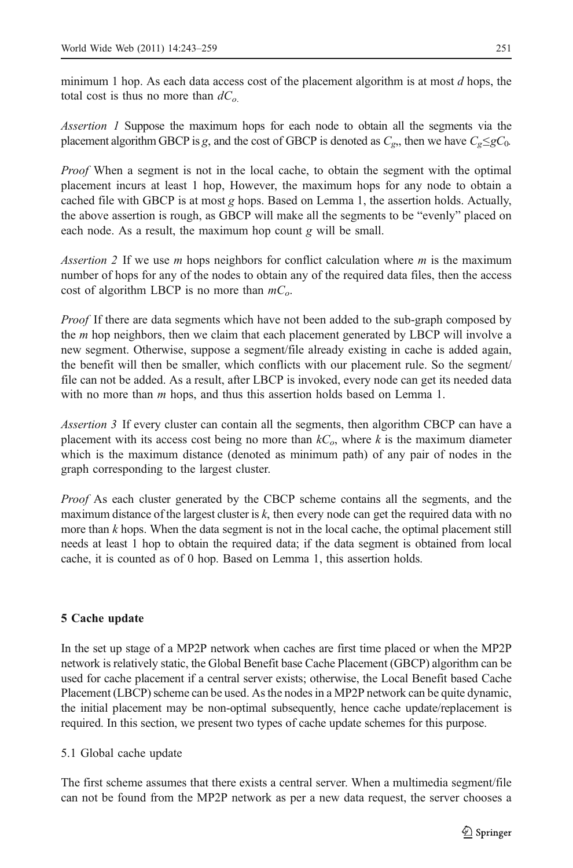<span id="page-8-0"></span>minimum 1 hop. As each data access cost of the placement algorithm is at most  $d$  hops, the total cost is thus no more than  $dC<sub>o</sub>$ 

Assertion 1 Suppose the maximum hops for each node to obtain all the segments via the placement algorithm GBCP is g, and the cost of GBCP is denoted as  $C_g$ , then we have  $C_g \leq gC_0$ .

Proof When a segment is not in the local cache, to obtain the segment with the optimal placement incurs at least 1 hop, However, the maximum hops for any node to obtain a cached file with GBCP is at most g hops. Based on Lemma 1, the assertion holds. Actually, the above assertion is rough, as GBCP will make all the segments to be "evenly" placed on each node. As a result, the maximum hop count g will be small.

Assertion 2 If we use m hops neighbors for conflict calculation where  $m$  is the maximum number of hops for any of the nodes to obtain any of the required data files, then the access cost of algorithm LBCP is no more than  $mC<sub>o</sub>$ .

Proof If there are data segments which have not been added to the sub-graph composed by the  $m$  hop neighbors, then we claim that each placement generated by LBCP will involve a new segment. Otherwise, suppose a segment/file already existing in cache is added again, the benefit will then be smaller, which conflicts with our placement rule. So the segment/ file can not be added. As a result, after LBCP is invoked, every node can get its needed data with no more than  $m$  hops, and thus this assertion holds based on Lemma 1.

Assertion 3 If every cluster can contain all the segments, then algorithm CBCP can have a placement with its access cost being no more than  $kC<sub>o</sub>$ , where k is the maximum diameter which is the maximum distance (denoted as minimum path) of any pair of nodes in the graph corresponding to the largest cluster.

Proof As each cluster generated by the CBCP scheme contains all the segments, and the maximum distance of the largest cluster is  $k$ , then every node can get the required data with no more than  $k$  hops. When the data segment is not in the local cache, the optimal placement still needs at least 1 hop to obtain the required data; if the data segment is obtained from local cache, it is counted as of 0 hop. Based on Lemma 1, this assertion holds.

## 5 Cache update

In the set up stage of a MP2P network when caches are first time placed or when the MP2P network is relatively static, the Global Benefit base Cache Placement (GBCP) algorithm can be used for cache placement if a central server exists; otherwise, the Local Benefit based Cache Placement (LBCP) scheme can be used. As the nodes in a MP2P network can be quite dynamic, the initial placement may be non-optimal subsequently, hence cache update/replacement is required. In this section, we present two types of cache update schemes for this purpose.

5.1 Global cache update

The first scheme assumes that there exists a central server. When a multimedia segment/file can not be found from the MP2P network as per a new data request, the server chooses a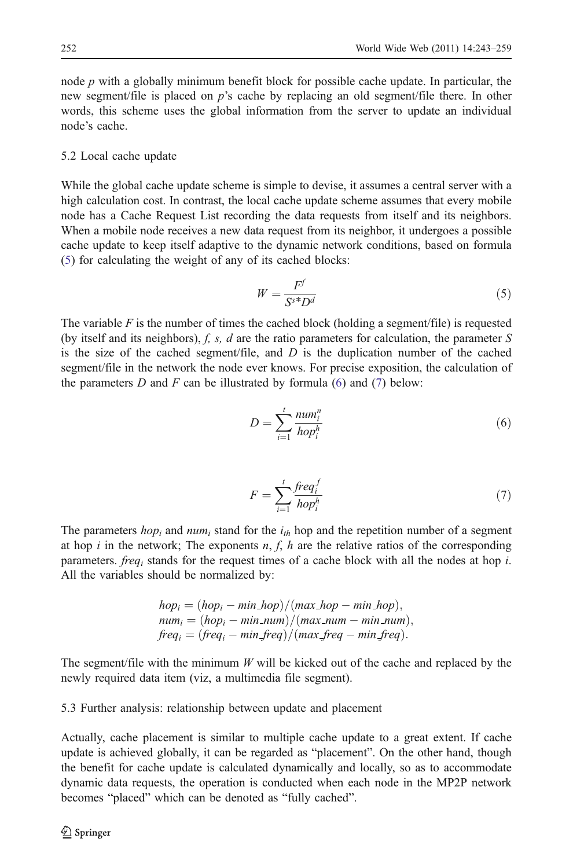node  $p$  with a globally minimum benefit block for possible cache update. In particular, the new segment/file is placed on p's cache by replacing an old segment/file there. In other words, this scheme uses the global information from the server to update an individual node's cache.

### 5.2 Local cache update

While the global cache update scheme is simple to devise, it assumes a central server with a high calculation cost. In contrast, the local cache update scheme assumes that every mobile node has a Cache Request List recording the data requests from itself and its neighbors. When a mobile node receives a new data request from its neighbor, it undergoes a possible cache update to keep itself adaptive to the dynamic network conditions, based on formula (5) for calculating the weight of any of its cached blocks:

$$
W = \frac{F^f}{S^{s*}D^d} \tag{5}
$$

The variable  $F$  is the number of times the cached block (holding a segment/file) is requested (by itself and its neighbors), f, s, d are the ratio parameters for calculation, the parameter S is the size of the cached segment/file, and  $D$  is the duplication number of the cached segment/file in the network the node ever knows. For precise exposition, the calculation of the parameters  $D$  and  $F$  can be illustrated by formula (6) and (7) below:

$$
D = \sum_{i=1}^{t} \frac{num_i^n}{hop_i^n} \tag{6}
$$

$$
F = \sum_{i=1}^{t} \frac{freq_i^f}{hop_i^h} \tag{7}
$$

The parameters  $hop_i$  and  $num_i$  stand for the  $i_{th}$  hop and the repetition number of a segment at hop i in the network; The exponents  $n, f, h$  are the relative ratios of the corresponding parameters. *freq<sub>i</sub>* stands for the request times of a cache block with all the nodes at hop *i*. All the variables should be normalized by:

$$
hop_i = (hop_i - min-hop)/(max-hop - min-hop),
$$
  
\n
$$
num_i = (hop_i - min_number)/(max_number - min_number),
$$
  
\n
$$
freq_i = (freq_i - minfreq)/(maxfreq - minfreq).
$$

The segment/file with the minimum  $W$  will be kicked out of the cache and replaced by the newly required data item (viz, a multimedia file segment).

5.3 Further analysis: relationship between update and placement

Actually, cache placement is similar to multiple cache update to a great extent. If cache update is achieved globally, it can be regarded as "placement". On the other hand, though the benefit for cache update is calculated dynamically and locally, so as to accommodate dynamic data requests, the operation is conducted when each node in the MP2P network becomes "placed" which can be denoted as "fully cached".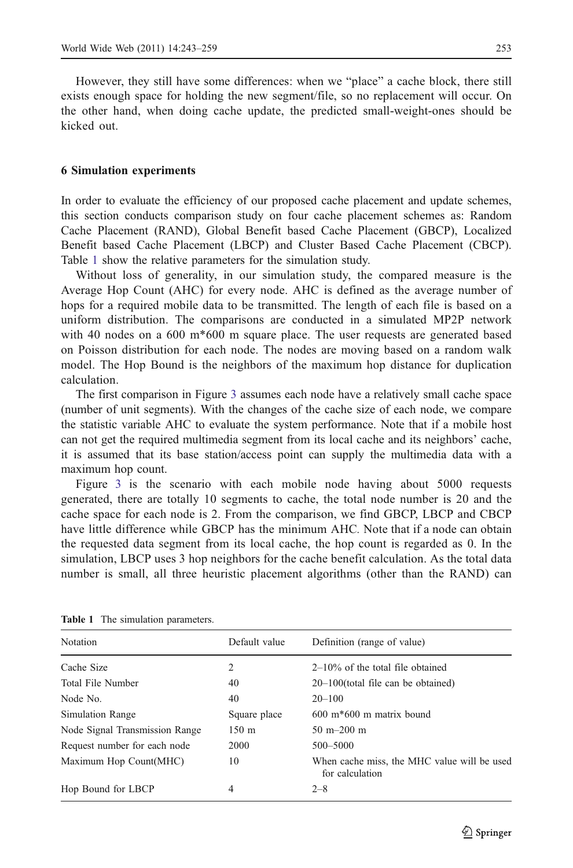<span id="page-10-0"></span>However, they still have some differences: when we "place" a cache block, there still exists enough space for holding the new segment/file, so no replacement will occur. On the other hand, when doing cache update, the predicted small-weight-ones should be kicked out.

### 6 Simulation experiments

In order to evaluate the efficiency of our proposed cache placement and update schemes, this section conducts comparison study on four cache placement schemes as: Random Cache Placement (RAND), Global Benefit based Cache Placement (GBCP), Localized Benefit based Cache Placement (LBCP) and Cluster Based Cache Placement (CBCP). Table 1 show the relative parameters for the simulation study.

Without loss of generality, in our simulation study, the compared measure is the Average Hop Count (AHC) for every node. AHC is defined as the average number of hops for a required mobile data to be transmitted. The length of each file is based on a uniform distribution. The comparisons are conducted in a simulated MP2P network with 40 nodes on a 600 m\*600 m square place. The user requests are generated based on Poisson distribution for each node. The nodes are moving based on a random walk model. The Hop Bound is the neighbors of the maximum hop distance for duplication calculation.

The first comparison in Figure [3](#page-11-0) assumes each node have a relatively small cache space (number of unit segments). With the changes of the cache size of each node, we compare the statistic variable AHC to evaluate the system performance. Note that if a mobile host can not get the required multimedia segment from its local cache and its neighbors' cache, it is assumed that its base station/access point can supply the multimedia data with a maximum hop count.

Figure [3](#page-11-0) is the scenario with each mobile node having about 5000 requests generated, there are totally 10 segments to cache, the total node number is 20 and the cache space for each node is 2. From the comparison, we find GBCP, LBCP and CBCP have little difference while GBCP has the minimum AHC. Note that if a node can obtain the requested data segment from its local cache, the hop count is regarded as 0. In the simulation, LBCP uses 3 hop neighbors for the cache benefit calculation. As the total data number is small, all three heuristic placement algorithms (other than the RAND) can

| Default value<br>Definition (range of value)                              |
|---------------------------------------------------------------------------|
| $2-10\%$ of the total file obtained                                       |
| $20-100$ (total file can be obtained)                                     |
| $20 - 100$                                                                |
| $600 \text{ m}$ <sup>*</sup> $600 \text{ m}$ matrix bound<br>Square place |
| $150 \; \text{m}$<br>$50 \text{ m} - 200 \text{ m}$                       |
| 500-5000                                                                  |
| When cache miss, the MHC value will be used<br>for calculation            |
| $2 - 8$                                                                   |
|                                                                           |

Table 1 The simulation parameters.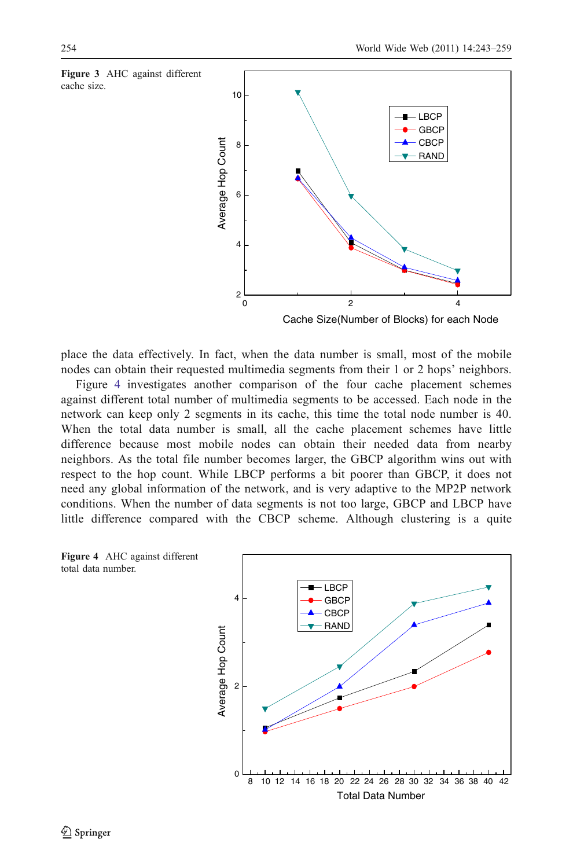<span id="page-11-0"></span>

place the data effectively. In fact, when the data number is small, most of the mobile nodes can obtain their requested multimedia segments from their 1 or 2 hops' neighbors.

Figure 4 investigates another comparison of the four cache placement schemes against different total number of multimedia segments to be accessed. Each node in the network can keep only 2 segments in its cache, this time the total node number is 40. When the total data number is small, all the cache placement schemes have little difference because most mobile nodes can obtain their needed data from nearby neighbors. As the total file number becomes larger, the GBCP algorithm wins out with respect to the hop count. While LBCP performs a bit poorer than GBCP, it does not need any global information of the network, and is very adaptive to the MP2P network conditions. When the number of data segments is not too large, GBCP and LBCP have little difference compared with the CBCP scheme. Although clustering is a quite



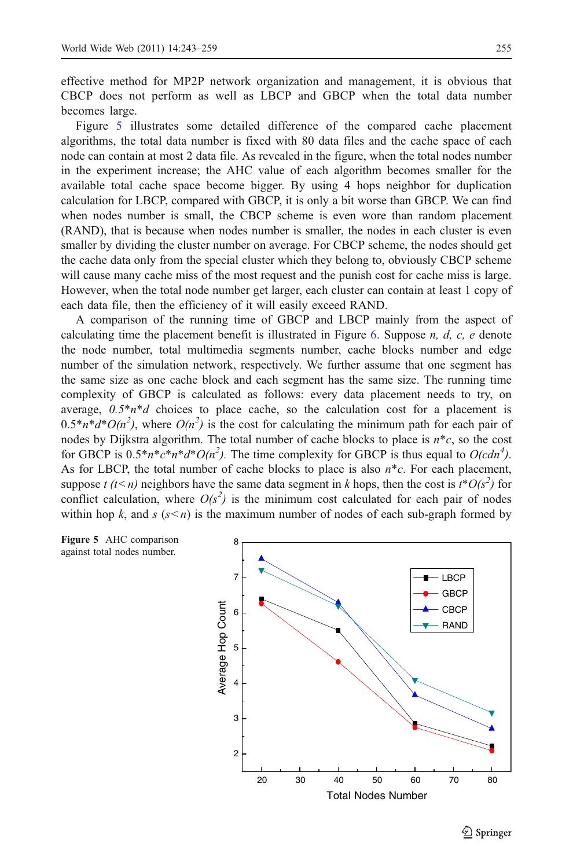effective method for MP2P network organization and management, it is obvious that CBCP does not perform as well as LBCP and GBCP when the total data number becomes large.

Figure 5 illustrates some detailed difference of the compared cache placement algorithms, the total data number is fixed with 80 data files and the cache space of each node can contain at most 2 data file. As revealed in the figure, when the total nodes number in the experiment increase; the AHC value of each algorithm becomes smaller for the available total cache space become bigger. By using 4 hops neighbor for duplication calculation for LBCP, compared with GBCP, it is only a bit worse than GBCP. We can find when nodes number is small, the CBCP scheme is even wore than random placement (RAND), that is because when nodes number is smaller, the nodes in each cluster is even smaller by dividing the cluster number on average. For CBCP scheme, the nodes should get the cache data only from the special cluster which they belong to, obviously CBCP scheme will cause many cache miss of the most request and the punish cost for cache miss is large. However, when the total node number get larger, each cluster can contain at least 1 copy of each data file, then the efficiency of it will easily exceed RAND.

A comparison of the running time of GBCP and LBCP mainly from the aspect of calculating time the placement benefit is illustrated in Figure [6](#page-13-0). Suppose  $n, d, c, e$  denote the node number, total multimedia segments number, cache blocks number and edge number of the simulation network, respectively. We further assume that one segment has the same size as one cache block and each segment has the same size. The running time complexity of GBCP is calculated as follows: every data placement needs to try, on average,  $0.5*n*d$  choices to place cache, so the calculation cost for a placement is  $0.5 * n * d * O(n^2)$ , where  $O(n^2)$  is the cost for calculating the minimum path for each pair of nodes by Dijkstra algorithm. The total number of cache blocks to place is  $n \ast c$ , so the cost for GBCP is  $0.5 * n * c * n * d * O(n^2)$ . The time complexity for GBCP is thus equal to  $O(cdn^4)$ . As for LBCP, the total number of cache blocks to place is also  $n \times c$ . For each placement, suppose t (t < n) neighbors have the same data segment in k hops, then the cost is  $t^*O(s^2)$  for conflict calculation, where  $O(s^2)$  is the minimum cost calculated for each pair of nodes within hop k, and s  $(s < n)$  is the maximum number of nodes of each sub-graph formed by



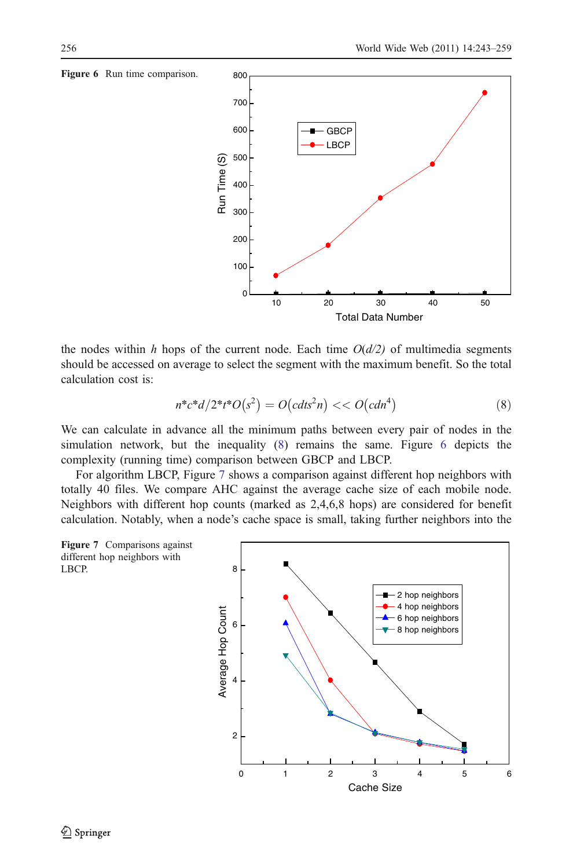

the nodes within h hops of the current node. Each time  $O(d/2)$  of multimedia segments should be accessed on average to select the segment with the maximum benefit. So the total calculation cost is:

$$
n^*c^*d/2^*t^*O(s^2) = O(cdt^2n) \ll O(cdn^4)
$$
\n(8)

We can calculate in advance all the minimum paths between every pair of nodes in the simulation network, but the inequality (8) remains the same. Figure 6 depicts the complexity (running time) comparison between GBCP and LBCP.

For algorithm LBCP, Figure 7 shows a comparison against different hop neighbors with totally 40 files. We compare AHC against the average cache size of each mobile node. Neighbors with different hop counts (marked as 2,4,6,8 hops) are considered for benefit calculation. Notably, when a node's cache space is small, taking further neighbors into the



#### <span id="page-13-0"></span>Figure 6 Run time comparison.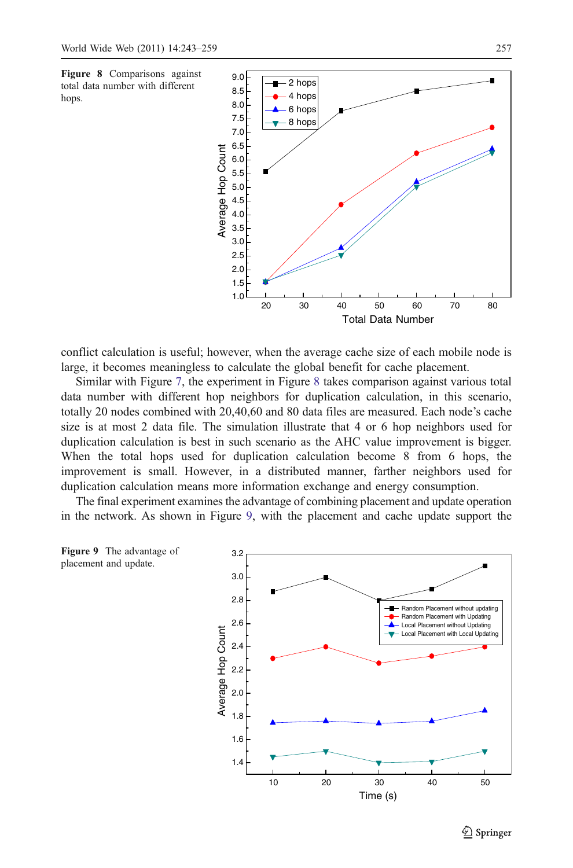

conflict calculation is useful; however, when the average cache size of each mobile node is large, it becomes meaningless to calculate the global benefit for cache placement.

Similar with Figure [7](#page-13-0), the experiment in Figure 8 takes comparison against various total data number with different hop neighbors for duplication calculation, in this scenario, totally 20 nodes combined with 20,40,60 and 80 data files are measured. Each node's cache size is at most 2 data file. The simulation illustrate that 4 or 6 hop neighbors used for duplication calculation is best in such scenario as the AHC value improvement is bigger. When the total hops used for duplication calculation become 8 from 6 hops, the improvement is small. However, in a distributed manner, farther neighbors used for duplication calculation means more information exchange and energy consumption.

The final experiment examines the advantage of combining placement and update operation in the network. As shown in Figure 9, with the placement and cache update support the





 $\mathcal{D}$  Springer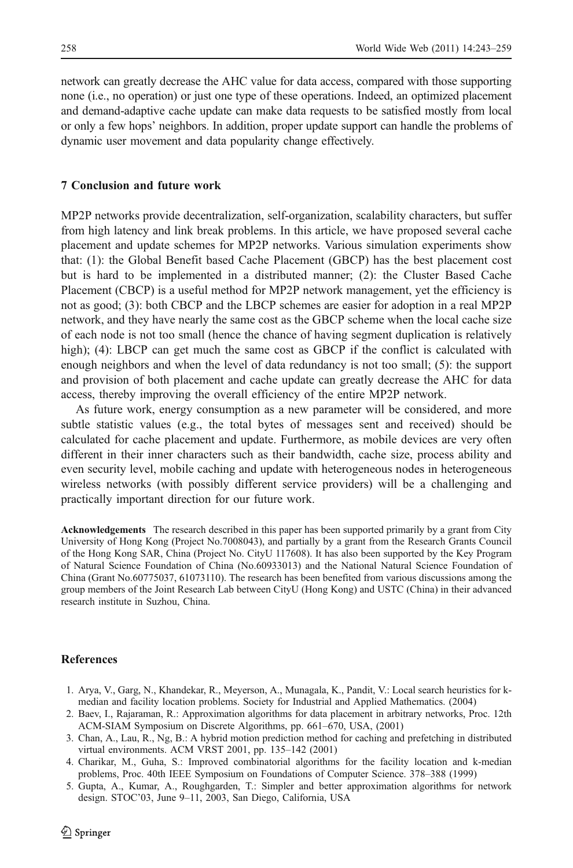<span id="page-15-0"></span>network can greatly decrease the AHC value for data access, compared with those supporting none (i.e., no operation) or just one type of these operations. Indeed, an optimized placement and demand-adaptive cache update can make data requests to be satisfied mostly from local or only a few hops' neighbors. In addition, proper update support can handle the problems of dynamic user movement and data popularity change effectively.

### 7 Conclusion and future work

MP2P networks provide decentralization, self-organization, scalability characters, but suffer from high latency and link break problems. In this article, we have proposed several cache placement and update schemes for MP2P networks. Various simulation experiments show that: (1): the Global Benefit based Cache Placement (GBCP) has the best placement cost but is hard to be implemented in a distributed manner; (2): the Cluster Based Cache Placement (CBCP) is a useful method for MP2P network management, yet the efficiency is not as good; (3): both CBCP and the LBCP schemes are easier for adoption in a real MP2P network, and they have nearly the same cost as the GBCP scheme when the local cache size of each node is not too small (hence the chance of having segment duplication is relatively high); (4): LBCP can get much the same cost as GBCP if the conflict is calculated with enough neighbors and when the level of data redundancy is not too small; (5): the support and provision of both placement and cache update can greatly decrease the AHC for data access, thereby improving the overall efficiency of the entire MP2P network.

As future work, energy consumption as a new parameter will be considered, and more subtle statistic values (e.g., the total bytes of messages sent and received) should be calculated for cache placement and update. Furthermore, as mobile devices are very often different in their inner characters such as their bandwidth, cache size, process ability and even security level, mobile caching and update with heterogeneous nodes in heterogeneous wireless networks (with possibly different service providers) will be a challenging and practically important direction for our future work.

Acknowledgements The research described in this paper has been supported primarily by a grant from City University of Hong Kong (Project No.7008043), and partially by a grant from the Research Grants Council of the Hong Kong SAR, China (Project No. CityU 117608). It has also been supported by the Key Program of Natural Science Foundation of China (No.60933013) and the National Natural Science Foundation of China (Grant No.60775037, 61073110). The research has been benefited from various discussions among the group members of the Joint Research Lab between CityU (Hong Kong) and USTC (China) in their advanced research institute in Suzhou, China.

### References

- 1. Arya, V., Garg, N., Khandekar, R., Meyerson, A., Munagala, K., Pandit, V.: Local search heuristics for kmedian and facility location problems. Society for Industrial and Applied Mathematics. (2004)
- 2. Baev, I., Rajaraman, R.: Approximation algorithms for data placement in arbitrary networks, Proc. 12th ACM-SIAM Symposium on Discrete Algorithms, pp. 661–670, USA, (2001)
- 3. Chan, A., Lau, R., Ng, B.: A hybrid motion prediction method for caching and prefetching in distributed virtual environments. ACM VRST 2001, pp. 135–142 (2001)
- 4. Charikar, M., Guha, S.: Improved combinatorial algorithms for the facility location and k-median problems, Proc. 40th IEEE Symposium on Foundations of Computer Science. 378–388 (1999)
- 5. Gupta, A., Kumar, A., Roughgarden, T.: Simpler and better approximation algorithms for network design. STOC'03, June 9–11, 2003, San Diego, California, USA